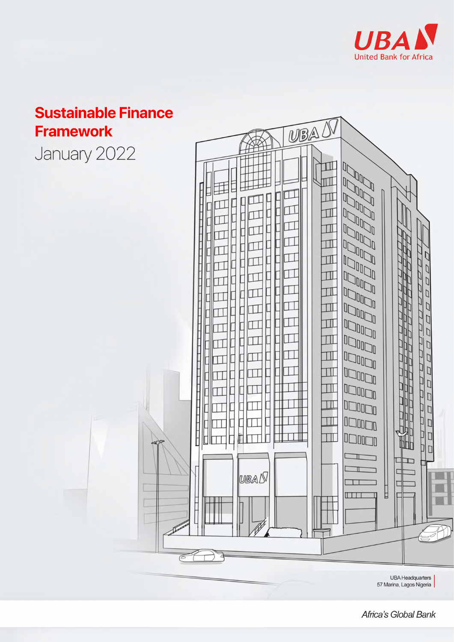

# **Sustainable Finance Framework**

January 2022



**UBA Headquarters** 57 Marina, Lagos Nigeria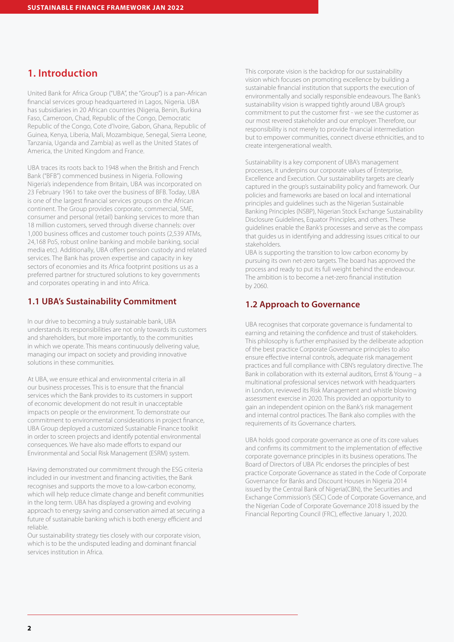## **1. Introduction**

United Bank for Africa Group ("UBA", the "Group") is a pan-African financial services group headquartered in Lagos, Nigeria. UBA has subsidiaries in 20 African countries (Nigeria, Benin, Burkina Faso, Cameroon, Chad, Republic of the Congo, Democratic Republic of the Congo, Cote d'Ivoire, Gabon, Ghana, Republic of Guinea, Kenya, Liberia, Mali, Mozambique, Senegal, Sierra Leone, Tanzania, Uganda and Zambia) as well as the United States of America, the United Kingdom and France.

UBA traces its roots back to 1948 when the British and French Bank ("BFB") commenced business in Nigeria. Following Nigeria's independence from Britain, UBA was incorporated on 23 February 1961 to take over the business of BFB. Today, UBA is one of the largest financial services groups on the African continent. The Group provides corporate, commercial, SME, consumer and personal (retail) banking services to more than 18 million customers, served through diverse channels: over 1,000 business offices and customer touch points (2,539 ATMs, 24,168 PoS, robust online banking and mobile banking, social media etc). Additionally, UBA offers pension custody and related services. The Bank has proven expertise and capacity in key sectors of economies and its Africa footprint positions us as a preferred partner for structured solutions to key governments and corporates operating in and into Africa.

## **1.1 UBA's Sustainability Commitment**

In our drive to becoming a truly sustainable bank, UBA understands its responsibilities are not only towards its customers and shareholders, but more importantly, to the communities in which we operate. This means continuously delivering value, managing our impact on society and providing innovative solutions in these communities.

At UBA, we ensure ethical and environmental criteria in all our business processes. This is to ensure that the financial services which the Bank provides to its customers in support of economic development do not result in unacceptable impacts on people or the environment. To demonstrate our commitment to environmental considerations in project finance, UBA Group deployed a customized Sustainable Finance toolkit in order to screen projects and identify potential environmental consequences. We have also made efforts to expand our Environmental and Social Risk Management (ESRM) system.

Having demonstrated our commitment through the ESG criteria included in our investment and financing activities, the Bank recognises and supports the move to a low-carbon economy, which will help reduce climate change and benefit communities in the long term. UBA has displayed a growing and evolving approach to energy saving and conservation aimed at securing a future of sustainable banking which is both energy efficient and reliable.

Our sustainability strategy ties closely with our corporate vision, which is to be the undisputed leading and dominant financial services institution in Africa.

This corporate vision is the backdrop for our sustainability vision which focuses on promoting excellence by building a sustainable financial institution that supports the execution of environmentally and socially responsible endeavours. The Bank's sustainability vision is wrapped tightly around UBA group's commitment to put the customer first - we see the customer as our most revered stakeholder and our employer. Therefore, our responsibility is not merely to provide financial intermediation but to empower communities, connect diverse ethnicities, and to create intergenerational wealth.

Sustainability is a key component of UBA's management processes, it underpins our corporate values of Enterprise, Excellence and Execution. Our sustainability targets are clearly captured in the group's sustainability policy and framework. Our policies and frameworks are based on local and international principles and guidelines such as the Nigerian Sustainable Banking Principles (NSBP), Nigerian Stock Exchange Sustainability Disclosure Guidelines, Equator Principles, and others. These guidelines enable the Bank's processes and serve as the compass that guides us in identifying and addressing issues critical to our stakeholders.

UBA is supporting the transition to low carbon economy by pursuing its own net-zero targets. The board has approved the process and ready to put its full weight behind the endeavour. The ambition is to become a net-zero financial institution by 2060.

## **1.2 Approach to Governance**

UBA recognises that corporate governance is fundamental to earning and retaining the confidence and trust of stakeholders. This philosophy is further emphasised by the deliberate adoption of the best practice Corporate Governance principles to also ensure effective internal controls, adequate risk management practices and full compliance with CBN's regulatory directive. The Bank in collaboration with its external auditors, Ernst & Young – a multinational professional services network with headquarters in London, reviewed its Risk Management and whistle blowing assessment exercise in 2020. This provided an opportunity to gain an independent opinion on the Bank's risk management and internal control practices. The Bank also complies with the requirements of its Governance charters.

UBA holds good corporate governance as one of its core values and confirms its commitment to the implementation of effective corporate governance principles in its business operations. The Board of Directors of UBA Plc endorses the principles of best practice Corporate Governance as stated in the Code of Corporate Governance for Banks and Discount Houses in Nigeria 2014 issued by the Central Bank of Nigeria(CBN), the Securities and Exchange Commission's (SEC) Code of Corporate Governance, and the Nigerian Code of Corporate Governance 2018 issued by the Financial Reporting Council (FRC), effective January 1, 2020.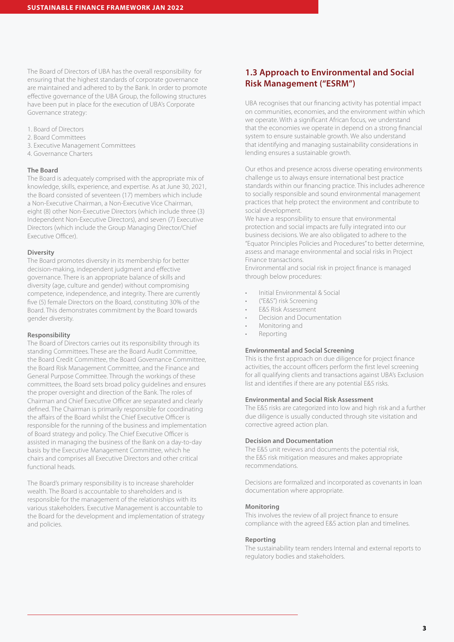The Board of Directors of UBA has the overall responsibility for ensuring that the highest standards of corporate governance are maintained and adhered to by the Bank. In order to promote effective governance of the UBA Group, the following structures have been put in place for the execution of UBA's Corporate Governance strategy:

- 1. Board of Directors
- 2. Board Committees
- 3. Executive Management Committees
- 4. Governance Charters

#### **The Board**

The Board is adequately comprised with the appropriate mix of knowledge, skills, experience, and expertise. As at June 30, 2021, the Board consisted of seventeen (17) members which include a Non-Executive Chairman, a Non-Executive Vice Chairman, eight (8) other Non-Executive Directors (which include three (3) Independent Non-Executive Directors), and seven (7) Executive Directors (which include the Group Managing Director/Chief Executive Officer).

#### **Diversity**

The Board promotes diversity in its membership for better decision-making, independent judgment and effective governance. There is an appropriate balance of skills and diversity (age, culture and gender) without compromising competence, independence, and integrity. There are currently five (5) female Directors on the Board, constituting 30% of the Board. This demonstrates commitment by the Board towards gender diversity.

#### **Responsibility**

The Board of Directors carries out its responsibility through its standing Committees. These are the Board Audit Committee, the Board Credit Committee, the Board Governance Committee, the Board Risk Management Committee, and the Finance and General Purpose Committee. Through the workings of these committees, the Board sets broad policy guidelines and ensures the proper oversight and direction of the Bank. The roles of Chairman and Chief Executive Officer are separated and clearly defined. The Chairman is primarily responsible for coordinating the affairs of the Board whilst the Chief Executive Officer is responsible for the running of the business and implementation of Board strategy and policy. The Chief Executive Officer is assisted in managing the business of the Bank on a day-to-day basis by the Executive Management Committee, which he chairs and comprises all Executive Directors and other critical functional heads.

The Board's primary responsibility is to increase shareholder wealth. The Board is accountable to shareholders and is responsible for the management of the relationships with its various stakeholders. Executive Management is accountable to the Board for the development and implementation of strategy and policies.

## **1.3 Approach to Environmental and Social Risk Management ("ESRM")**

UBA recognises that our financing activity has potential impact on communities, economies, and the environment within which we operate. With a significant African focus, we understand that the economies we operate in depend on a strong financial system to ensure sustainable growth. We also understand that identifying and managing sustainability considerations in lending ensures a sustainable growth.

Our ethos and presence across diverse operating environments challenge us to always ensure international best practice standards within our financing practice. This includes adherence to socially responsible and sound environmental management practices that help protect the environment and contribute to social development.

We have a responsibility to ensure that environmental protection and social impacts are fully integrated into our business decisions. We are also obligated to adhere to the "Equator Principles Policies and Procedures" to better determine, assess and manage environmental and social risks in Project Finance transactions.

Environmental and social risk in project finance is managed through below procedures:

- Initial Environmental & Social
- ("E&S") risk Screening
- E&S Risk Assessment
- Decision and Documentation
- Monitoring and
- **Reporting**

#### **Environmental and Social Screening**

This is the first approach on due diligence for project finance activities, the account officers perform the first level screening for all qualifying clients and transactions against UBA's Exclusion list and identifies if there are any potential E&S risks.

#### **Environmental and Social Risk Assessment**

The E&S risks are categorized into low and high risk and a further due diligence is usually conducted through site visitation and corrective agreed action plan.

#### **Decision and Documentation**

The E&S unit reviews and documents the potential risk, the E&S risk mitigation measures and makes appropriate recommendations.

Decisions are formalized and incorporated as covenants in loan documentation where appropriate.

#### **Monitoring**

This involves the review of all project finance to ensure compliance with the agreed E&S action plan and timelines.

#### **Reporting**

The sustainability team renders Internal and external reports to regulatory bodies and stakeholders.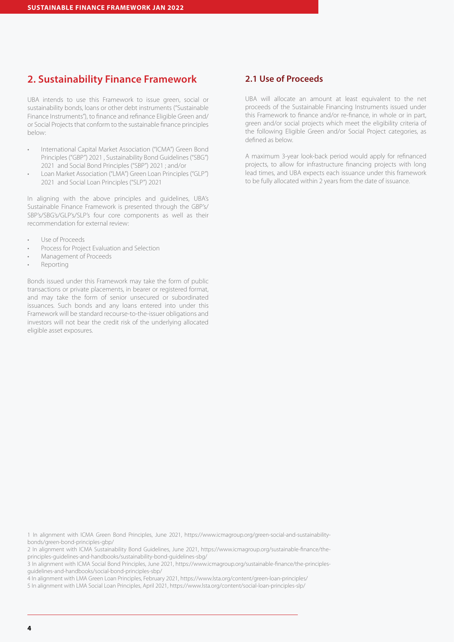## **2. Sustainability Finance Framework**

UBA intends to use this Framework to issue green, social or sustainability bonds, loans or other debt instruments ("Sustainable Finance Instruments"), to finance and refinance Eligible Green and/ or Social Projects that conform to the sustainable finance principles below:

- International Capital Market Association ("ICMA") Green Bond Principles ("GBP") 2021 , Sustainability Bond Guidelines ("SBG") 2021 and Social Bond Principles ("SBP") 2021 ; and/or
- Loan Market Association ("LMA") Green Loan Principles ("GLP") 2021 and Social Loan Principles ("SLP") 2021

In aligning with the above principles and guidelines, UBA's Sustainable Finance Framework is presented through the GBP's/ SBP's/SBG's/GLP's/SLP's four core components as well as their recommendation for external review:

- Use of Proceeds
- Process for Project Evaluation and Selection
- Management of Proceeds
- Reporting

Bonds issued under this Framework may take the form of public transactions or private placements, in bearer or registered format, and may take the form of senior unsecured or subordinated issuances. Such bonds and any loans entered into under this Framework will be standard recourse-to-the-issuer obligations and investors will not bear the credit risk of the underlying allocated eligible asset exposures.

## **2.1 Use of Proceeds**

UBA will allocate an amount at least equivalent to the net proceeds of the Sustainable Financing Instruments issued under this Framework to finance and/or re-finance, in whole or in part, green and/or social projects which meet the eligibility criteria of the following Eligible Green and/or Social Project categories, as defined as below.

A maximum 3-year look-back period would apply for refinanced projects, to allow for infrastructure financing projects with long lead times, and UBA expects each issuance under this framework to be fully allocated within 2 years from the date of issuance.

1 In alignment with ICMA Green Bond Principles, June 2021, https://www.icmagroup.org/green-social-and-sustainabilitybonds/green-bond-principles-gbp/

2 In alignment with ICMA Sustainability Bond Guidelines, June 2021, https://www.icmagroup.org/sustainable-finance/theprinciples-guidelines-and-handbooks/sustainability-bond-guidelines-sbg/

3 In alignment with ICMA Social Bond Principles, June 2021, https://www.icmagroup.org/sustainable-finance/the-principlesguidelines-and-handbooks/social-bond-principles-sbp/

4 In alignment with LMA Green Loan Principles, February 2021, https://www.lsta.org/content/green-loan-principles/

5 In alignment with LMA Social Loan Principles, April 2021, https://www.lsta.org/content/social-loan-principles-slp/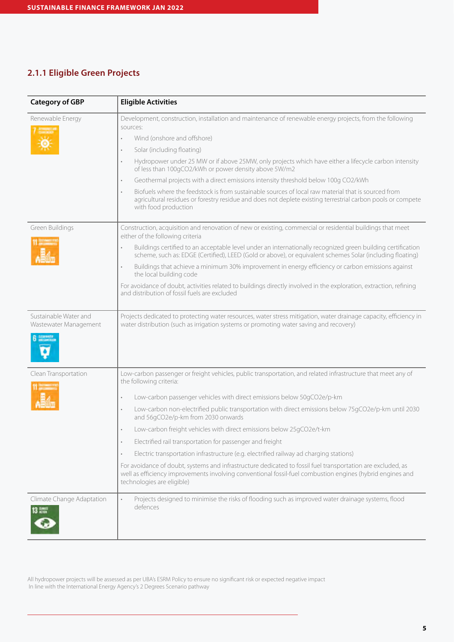## **2.1.1 Eligible Green Projects**

| <b>Category of GBP</b>                                           | <b>Eligible Activities</b>                                                                                                                                                                                                                                                                                                                                                                                                                                                                                                                                                                                                                                                                                                                                                                                                                                                                  |
|------------------------------------------------------------------|---------------------------------------------------------------------------------------------------------------------------------------------------------------------------------------------------------------------------------------------------------------------------------------------------------------------------------------------------------------------------------------------------------------------------------------------------------------------------------------------------------------------------------------------------------------------------------------------------------------------------------------------------------------------------------------------------------------------------------------------------------------------------------------------------------------------------------------------------------------------------------------------|
| Renewable Energy                                                 | Development, construction, installation and maintenance of renewable energy projects, from the following<br>sources:<br>Wind (onshore and offshore)<br>$\bullet$<br>Solar (including floating)<br>$\circ$<br>Hydropower under 25 MW or if above 25 MW, only projects which have either a lifecycle carbon intensity<br>$\bullet$<br>of less than 100gCO2/kWh or power density above 5W/m2<br>Geothermal projects with a direct emissions intensity threshold below 100g CO2/kWh<br>$\bullet$<br>Biofuels where the feedstock is from sustainable sources of local raw material that is sourced from<br>agricultural residues or forestry residue and does not deplete existing terrestrial carbon pools or compete<br>with food production                                                                                                                                                  |
| Green Buildings                                                  | Construction, acquisition and renovation of new or existing, commercial or residential buildings that meet<br>either of the following criteria<br>Buildings certified to an acceptable level under an internationally recognized green building certification<br>scheme, such as: EDGE (Certified), LEED (Gold or above), or equivalent schemes Solar (including floating)<br>Buildings that achieve a minimum 30% improvement in energy efficiency or carbon emissions against<br>$\bullet$<br>the local building code<br>For avoidance of doubt, activities related to buildings directly involved in the exploration, extraction, refining<br>and distribution of fossil fuels are excluded                                                                                                                                                                                              |
| Sustainable Water and<br>Wastewater Management<br><b>GENERAL</b> | Projects dedicated to protecting water resources, water stress mitigation, water drainage capacity, efficiency in<br>water distribution (such as irrigation systems or promoting water saving and recovery)                                                                                                                                                                                                                                                                                                                                                                                                                                                                                                                                                                                                                                                                                 |
| Clean Transportation                                             | Low-carbon passenger or freight vehicles, public transportation, and related infrastructure that meet any of<br>the following criteria:<br>Low-carbon passenger vehicles with direct emissions below 50gCO2e/p-km<br>$\circ$<br>Low-carbon non-electrified public transportation with direct emissions below 75gCO2e/p-km until 2030<br>$\bullet$<br>and 56gCO2e/p-km from 2030 onwards<br>Low-carbon freight vehicles with direct emissions below 25gCO2e/t-km<br>Electrified rail transportation for passenger and freight<br>Electric transportation infrastructure (e.g. electrified railway ad charging stations)<br>$\circ$<br>For avoidance of doubt, systems and infrastructure dedicated to fossil fuel transportation are excluded, as<br>well as efficiency improvements involving conventional fossil-fuel combustion engines (hybrid engines and<br>technologies are eligible) |
| Climate Change Adaptation<br>13 盟                                | Projects designed to minimise the risks of flooding such as improved water drainage systems, flood<br>defences                                                                                                                                                                                                                                                                                                                                                                                                                                                                                                                                                                                                                                                                                                                                                                              |

All hydropower projects will be assessed as per UBA's ESRM Policy to ensure no significant risk or expected negative impact In line with the International Energy Agency's 2 Degrees Scenario pathway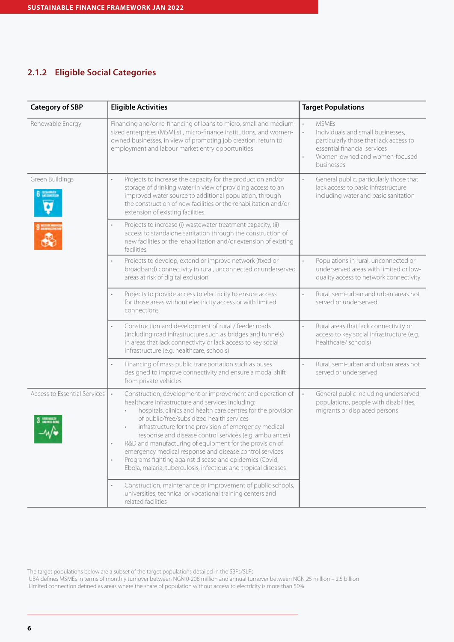## **2.1.2 Eligible Social Categories**

| <b>Category of SBP</b>             | <b>Eligible Activities</b>                                                                                                                                                                                                                                                                                                                                                                                                                                                                                                                                                                                                   | <b>Target Populations</b>                                                                                                                                                                                                    |
|------------------------------------|------------------------------------------------------------------------------------------------------------------------------------------------------------------------------------------------------------------------------------------------------------------------------------------------------------------------------------------------------------------------------------------------------------------------------------------------------------------------------------------------------------------------------------------------------------------------------------------------------------------------------|------------------------------------------------------------------------------------------------------------------------------------------------------------------------------------------------------------------------------|
| Renewable Energy                   | Financing and/or re-financing of loans to micro, small and medium-<br>sized enterprises (MSMEs), micro-finance institutions, and women-<br>owned businesses, in view of promoting job creation, return to<br>employment and labour market entry opportunities                                                                                                                                                                                                                                                                                                                                                                | <b>MSMEs</b><br>$\bullet$<br>$\ddot{\phantom{0}}$<br>Individuals and small businesses,<br>particularly those that lack access to<br>essential financial services<br>Women-owned and women-focused<br>$\bullet$<br>businesses |
| Green Buildings<br><b>DELLINES</b> | Projects to increase the capacity for the production and/or<br>storage of drinking water in view of providing access to an<br>improved water source to additional population, through<br>the construction of new facilities or the rehabilitation and/or<br>extension of existing facilities.                                                                                                                                                                                                                                                                                                                                | General public, particularly those that<br>$\bullet$<br>lack access to basic infrastructure<br>including water and basic sanitation                                                                                          |
|                                    | Projects to increase (i) wastewater treatment capacity, (ii)<br>access to standalone sanitation through the construction of<br>new facilities or the rehabilitation and/or extension of existing<br>facilities                                                                                                                                                                                                                                                                                                                                                                                                               |                                                                                                                                                                                                                              |
|                                    | Projects to develop, extend or improve network (fixed or<br>$\bullet$<br>broadband) connectivity in rural, unconnected or underserved<br>areas at risk of digital exclusion                                                                                                                                                                                                                                                                                                                                                                                                                                                  | $\ddot{\phantom{0}}$<br>Populations in rural, unconnected or<br>underserved areas with limited or low-<br>quality access to network connectivity                                                                             |
|                                    | Projects to provide access to electricity to ensure access<br>for those areas without electricity access or with limited<br>connections                                                                                                                                                                                                                                                                                                                                                                                                                                                                                      | Rural, semi-urban and urban areas not<br>served or underserved                                                                                                                                                               |
|                                    | Construction and development of rural / feeder roads<br>(including road infrastructure such as bridges and tunnels)<br>in areas that lack connectivity or lack access to key social<br>infrastructure (e.g. healthcare, schools)                                                                                                                                                                                                                                                                                                                                                                                             | Rural areas that lack connectivity or<br>access to key social infrastructure (e.g.<br>healthcare/ schools)                                                                                                                   |
|                                    | Financing of mass public transportation such as buses<br>$\bullet$<br>designed to improve connectivity and ensure a modal shift<br>from private vehicles                                                                                                                                                                                                                                                                                                                                                                                                                                                                     | Rural, semi-urban and urban areas not<br>$\bullet$<br>served or underserved                                                                                                                                                  |
| Access to Essential Services       | Construction, development or improvement and operation of<br>$\bullet$<br>healthcare infrastructure and services including:<br>hospitals, clinics and health care centres for the provision<br>of public/free/subsidized health services<br>infrastructure for the provision of emergency medical<br>response and disease control services (e.g. ambulances)<br>R&D and manufacturing of equipment for the provision of<br>emergency medical response and disease control services<br>Programs fighting against disease and epidemics (Covid,<br>$\bullet$<br>Ebola, malaria, tuberculosis, infectious and tropical diseases | General public including underserved<br>$\bullet$<br>populations, people with disabilities,<br>migrants or displaced persons                                                                                                 |
|                                    | Construction, maintenance or improvement of public schools,<br>$\bullet$<br>universities, technical or vocational training centers and<br>related facilities                                                                                                                                                                                                                                                                                                                                                                                                                                                                 |                                                                                                                                                                                                                              |

The target populations below are a subset of the target populations detailed in the SBPs/SLPs

 UBA defines MSMEs in terms of monthly turnover between NGN 0-208 million and annual turnover between NGN 25 million – 2.5 billion Limited connection defined as areas where the share of population without access to electricity is more than 50%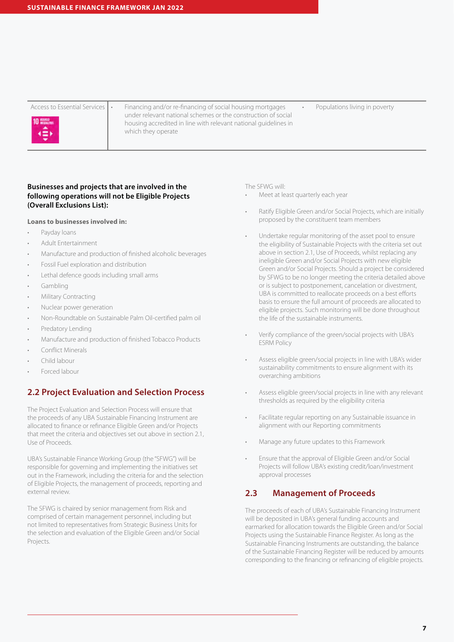

Access to Essential Services  $\left| \cdot \right|$  Financing and/or re-financing of social housing mortgages under relevant national schemes or the construction of social housing accredited in line with relevant national guidelines in which they operate

Populations living in poverty

#### **Businesses and projects that are involved in the following operations will not be Eligible Projects (Overall Exclusions List):**

#### **Loans to businesses involved in:**

- Payday loans
- Adult Entertainment
- Manufacture and production of finished alcoholic beverages
- Fossil Fuel exploration and distribution
- Lethal defence goods including small arms
- Gambling
- Military Contracting
- Nuclear power generation
- Non-Roundtable on Sustainable Palm Oil-certified palm oil
- Predatory Lending
- Manufacture and production of finished Tobacco Products
- Conflict Minerals
- Child labour
- Forced labour

## **2.2 Project Evaluation and Selection Process**

The Project Evaluation and Selection Process will ensure that the proceeds of any UBA Sustainable Financing Instrument are allocated to finance or refinance Eligible Green and/or Projects that meet the criteria and objectives set out above in section 2.1, Use of Proceeds.

UBA's Sustainable Finance Working Group (the "SFWG") will be responsible for governing and implementing the initiatives set out in the Framework, including the criteria for and the selection of Eligible Projects, the management of proceeds, reporting and external review.

The SFWG is chaired by senior management from Risk and comprised of certain management personnel, including but not limited to representatives from Strategic Business Units for the selection and evaluation of the Eligible Green and/or Social Projects.

The SFWG will:

- Meet at least quarterly each year
- Ratify Eligible Green and/or Social Projects, which are initially proposed by the constituent team members
- Undertake regular monitoring of the asset pool to ensure the eligibility of Sustainable Projects with the criteria set out above in section 2.1, Use of Proceeds, whilst replacing any ineligible Green and/or Social Projects with new eligible Green and/or Social Projects. Should a project be considered by SFWG to be no longer meeting the criteria detailed above or is subject to postponement, cancelation or divestment, UBA is committed to reallocate proceeds on a best efforts basis to ensure the full amount of proceeds are allocated to eligible projects. Such monitoring will be done throughout the life of the sustainable instruments.
- Verify compliance of the green/social projects with UBA's ESRM Policy
- Assess eligible green/social projects in line with UBA's wider sustainability commitments to ensure alignment with its overarching ambitions
- Assess eligible green/social projects in line with any relevant thresholds as required by the eligibility criteria
- Facilitate regular reporting on any Sustainable issuance in alignment with our Reporting commitments
- Manage any future updates to this Framework
- Ensure that the approval of Eligible Green and/or Social Projects will follow UBA's existing credit/loan/investment approval processes

## **2.3 Management of Proceeds**

The proceeds of each of UBA's Sustainable Financing Instrument will be deposited in UBA's general funding accounts and earmarked for allocation towards the Eligible Green and/or Social Projects using the Sustainable Finance Register. As long as the Sustainable Financing Instruments are outstanding, the balance of the Sustainable Financing Register will be reduced by amounts corresponding to the financing or refinancing of eligible projects.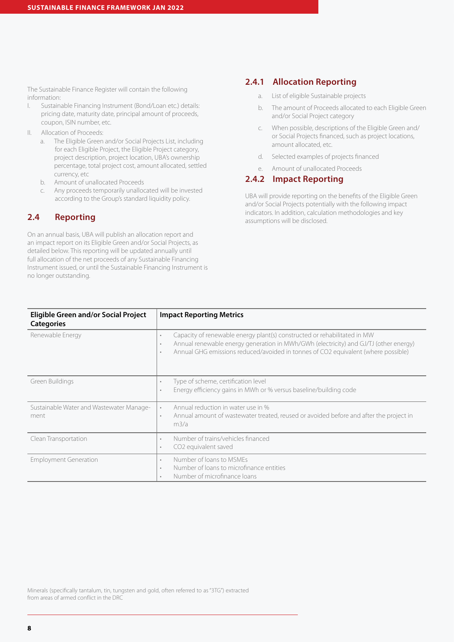The Sustainable Finance Register will contain the following information:

- I. Sustainable Financing Instrument (Bond/Loan etc.) details: pricing date, maturity date, principal amount of proceeds, coupon, ISIN number, etc.
- II. Allocation of Proceeds:
	- a. The Eligible Green and/or Social Projects List, including for each Eligible Project, the Eligible Project category, project description, project location, UBA's ownership percentage, total project cost, amount allocated, settled currency, etc
	- b. Amount of unallocated Proceeds
	- c. Any proceeds temporarily unallocated will be invested according to the Group's standard liquidity policy.

## **2.4 Reporting**

On an annual basis, UBA will publish an allocation report and an impact report on its Eligible Green and/or Social Projects, as detailed below. This reporting will be updated annually until full allocation of the net proceeds of any Sustainable Financing Instrument issued, or until the Sustainable Financing Instrument is no longer outstanding.

## **2.4.1 Allocation Reporting**

- a. List of eligible Sustainable projects
- b. The amount of Proceeds allocated to each Eligible Green and/or Social Project category
- c. When possible, descriptions of the Eligible Green and/ or Social Projects financed, such as project locations, amount allocated, etc.
- d. Selected examples of projects financed
- e. Amount of unallocated Proceeds

## **2.4.2 Impact Reporting**

UBA will provide reporting on the benefits of the Eligible Green and/or Social Projects potentially with the following impact indicators. In addition, calculation methodologies and key assumptions will be disclosed.

| <b>Eligible Green and/or Social Project</b><br><b>Categories</b> | <b>Impact Reporting Metrics</b>                                                                                                                                                                                                                                              |
|------------------------------------------------------------------|------------------------------------------------------------------------------------------------------------------------------------------------------------------------------------------------------------------------------------------------------------------------------|
| Renewable Energy                                                 | Capacity of renewable energy plant(s) constructed or rehabilitated in MW<br>٠<br>Annual renewable energy generation in MWh/GWh (electricity) and GJ/TJ (other energy)<br>$\bullet$<br>Annual GHG emissions reduced/avoided in tonnes of CO2 equivalent (where possible)<br>٠ |
| Green Buildings                                                  | Type of scheme, certification level<br>٠<br>Energy efficiency gains in MWh or % versus baseline/building code<br>٠                                                                                                                                                           |
| Sustainable Water and Wastewater Manage-<br>ment                 | Annual reduction in water use in %<br>$\bullet$<br>Annual amount of wastewater treated, reused or avoided before and after the project in<br>٠<br>m3/a                                                                                                                       |
| Clean Transportation                                             | Number of trains/vehicles financed<br>$\bullet$<br>CO <sub>2</sub> equivalent saved<br>٠                                                                                                                                                                                     |
| <b>Employment Generation</b>                                     | Number of loans to MSMEs<br>$\bullet$<br>Number of loans to microfinance entities<br>٠<br>Number of microfinance loans<br>٠                                                                                                                                                  |

Minerals (specifically tantalum, tin, tungsten and gold, often referred to as "3TG") extracted from areas of armed conflict in the DRC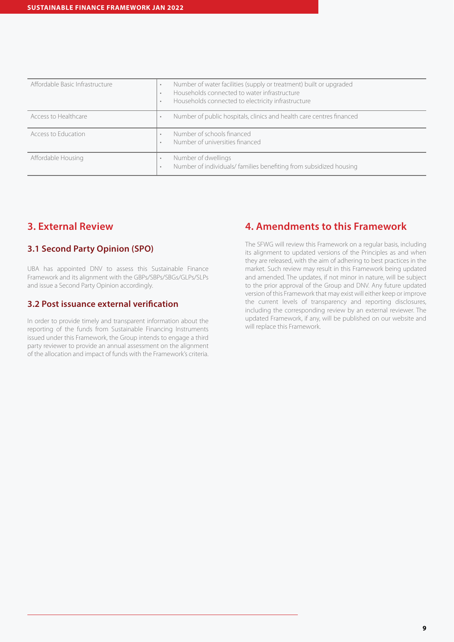| Affordable Basic Infrastructure | Number of water facilities (supply or treatment) built or upgraded<br>٠<br>Households connected to water infrastructure<br>$\bullet$<br>Households connected to electricity infrastructure<br>$\bullet$ |
|---------------------------------|---------------------------------------------------------------------------------------------------------------------------------------------------------------------------------------------------------|
| Access to Healthcare            | Number of public hospitals, clinics and health care centres financed<br>٠                                                                                                                               |
| Access to Education             | Number of schools financed<br>Number of universities financed<br>$\bullet$                                                                                                                              |
| Affordable Housing              | Number of dwellings<br>Number of individuals/ families benefiting from subsidized housing<br>٠                                                                                                          |

## **3. External Review**

## **3.1 Second Party Opinion (SPO)**

UBA has appointed DNV to assess this Sustainable Finance Framework and its alignment with the GBPs/SBPs/SBGs/GLPs/SLPs and issue a Second Party Opinion accordingly.

## **3.2 Post issuance external verification**

In order to provide timely and transparent information about the reporting of the funds from Sustainable Financing Instruments issued under this Framework, the Group intends to engage a third party reviewer to provide an annual assessment on the alignment of the allocation and impact of funds with the Framework's criteria.

## **4. Amendments to this Framework**

The SFWG will review this Framework on a regular basis, including its alignment to updated versions of the Principles as and when they are released, with the aim of adhering to best practices in the market. Such review may result in this Framework being updated and amended. The updates, if not minor in nature, will be subject to the prior approval of the Group and DNV. Any future updated version of this Framework that may exist will either keep or improve the current levels of transparency and reporting disclosures, including the corresponding review by an external reviewer. The updated Framework, if any, will be published on our website and will replace this Framework.